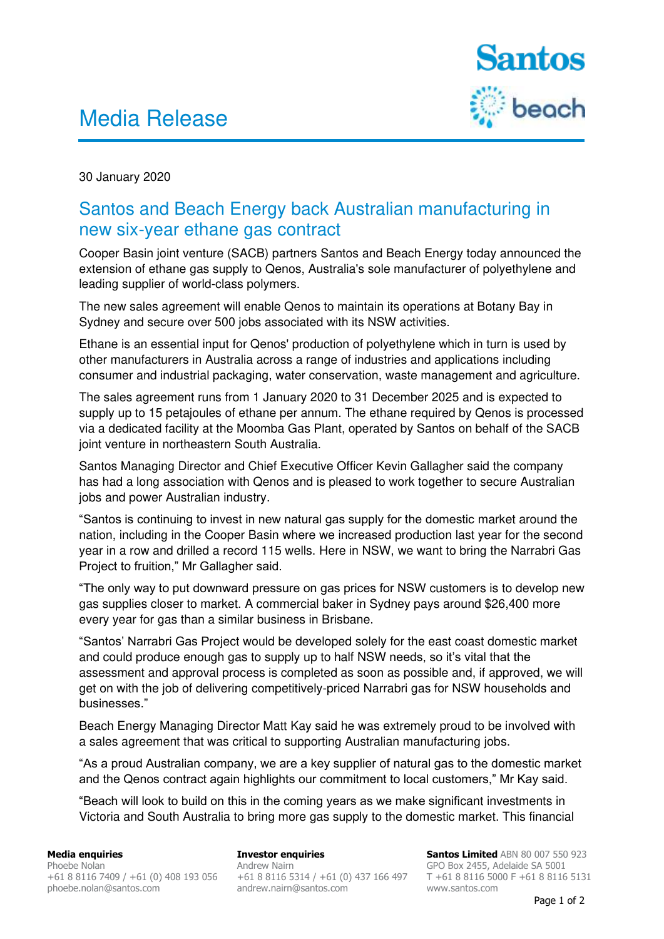## Media Release



30 January 2020

## Santos and Beach Energy back Australian manufacturing in new six-year ethane gas contract

Cooper Basin joint venture (SACB) partners Santos and Beach Energy today announced the extension of ethane gas supply to Qenos, Australia's sole manufacturer of polyethylene and leading supplier of world-class polymers.

The new sales agreement will enable Qenos to maintain its operations at Botany Bay in Sydney and secure over 500 jobs associated with its NSW activities.

Ethane is an essential input for Qenos' production of polyethylene which in turn is used by other manufacturers in Australia across a range of industries and applications including consumer and industrial packaging, water conservation, waste management and agriculture.

The sales agreement runs from 1 January 2020 to 31 December 2025 and is expected to supply up to 15 petajoules of ethane per annum. The ethane required by Qenos is processed via a dedicated facility at the Moomba Gas Plant, operated by Santos on behalf of the SACB joint venture in northeastern South Australia.

Santos Managing Director and Chief Executive Officer Kevin Gallagher said the company has had a long association with Qenos and is pleased to work together to secure Australian jobs and power Australian industry.

"Santos is continuing to invest in new natural gas supply for the domestic market around the nation, including in the Cooper Basin where we increased production last year for the second year in a row and drilled a record 115 wells. Here in NSW, we want to bring the Narrabri Gas Project to fruition," Mr Gallagher said.

"The only way to put downward pressure on gas prices for NSW customers is to develop new gas supplies closer to market. A commercial baker in Sydney pays around \$26,400 more every year for gas than a similar business in Brisbane.

"Santos' Narrabri Gas Project would be developed solely for the east coast domestic market and could produce enough gas to supply up to half NSW needs, so it's vital that the assessment and approval process is completed as soon as possible and, if approved, we will get on with the job of delivering competitively-priced Narrabri gas for NSW households and businesses."

Beach Energy Managing Director Matt Kay said he was extremely proud to be involved with a sales agreement that was critical to supporting Australian manufacturing jobs.

"As a proud Australian company, we are a key supplier of natural gas to the domestic market and the Qenos contract again highlights our commitment to local customers," Mr Kay said.

"Beach will look to build on this in the coming years as we make significant investments in Victoria and South Australia to bring more gas supply to the domestic market. This financial

**Media enquiries**  Phoebe Nolan +61 8 8116 7409 / +61 (0) 408 193 056 [phoebe.nolan@santos.com](mailto:phoebe.nolan@santos.com) 

**Investor enquiries** Andrew Nairn +61 8 8116 5314 / +61 (0) 437 166 497 [andrew.nairn@santos.com](mailto:andrew.nairn@santos.com) 

**Santos Limited** ABN 80 007 550 923 GPO Box 2455, Adelaide SA 5001 T +61 8 8116 5000 F +61 8 8116 5131 [www.santos.com](http://www.santos.com/)